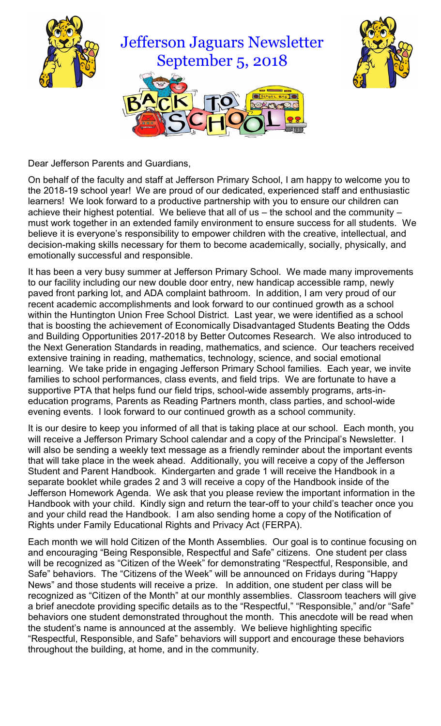



Dear Jefferson Parents and Guardians,

On behalf of the faculty and staff at Jefferson Primary School, I am happy to welcome you to the 2018-19 school year! We are proud of our dedicated, experienced staff and enthusiastic learners! We look forward to a productive partnership with you to ensure our children can achieve their highest potential. We believe that all of us – the school and the community – must work together in an extended family environment to ensure success for all students. We believe it is everyone's responsibility to empower children with the creative, intellectual, and decision-making skills necessary for them to become academically, socially, physically, and emotionally successful and responsible.

It has been a very busy summer at Jefferson Primary School. We made many improvements to our facility including our new double door entry, new handicap accessible ramp, newly paved front parking lot, and ADA complaint bathroom. In addition, I am very proud of our recent academic accomplishments and look forward to our continued growth as a school within the Huntington Union Free School District. Last year, we were identified as a school that is boosting the achievement of Economically Disadvantaged Students Beating the Odds and Building Opportunities 2017-2018 by Better Outcomes Research. We also introduced to the Next Generation Standards in reading, mathematics, and science. Our teachers received extensive training in reading, mathematics, technology, science, and social emotional learning. We take pride in engaging Jefferson Primary School families. Each year, we invite families to school performances, class events, and field trips. We are fortunate to have a supportive PTA that helps fund our field trips, school-wide assembly programs, arts-ineducation programs, Parents as Reading Partners month, class parties, and school-wide evening events. I look forward to our continued growth as a school community.

It is our desire to keep you informed of all that is taking place at our school. Each month, you will receive a Jefferson Primary School calendar and a copy of the Principal's Newsletter. I will also be sending a weekly text message as a friendly reminder about the important events that will take place in the week ahead. Additionally, you will receive a copy of the Jefferson Student and Parent Handbook. Kindergarten and grade 1 will receive the Handbook in a separate booklet while grades 2 and 3 will receive a copy of the Handbook inside of the Jefferson Homework Agenda. We ask that you please review the important information in the Handbook with your child. Kindly sign and return the tear-off to your child's teacher once you and your child read the Handbook. I am also sending home a copy of the Notification of Rights under Family Educational Rights and Privacy Act (FERPA).

Each month we will hold Citizen of the Month Assemblies. Our goal is to continue focusing on and encouraging "Being Responsible, Respectful and Safe" citizens. One student per class will be recognized as "Citizen of the Week" for demonstrating "Respectful, Responsible, and Safe" behaviors. The "Citizens of the Week" will be announced on Fridays during "Happy News" and those students will receive a prize. In addition, one student per class will be recognized as "Citizen of the Month" at our monthly assemblies. Classroom teachers will give a brief anecdote providing specific details as to the "Respectful," "Responsible," and/or "Safe" behaviors one student demonstrated throughout the month. This anecdote will be read when the student's name is announced at the assembly. We believe highlighting specific "Respectful, Responsible, and Safe" behaviors will support and encourage these behaviors throughout the building, at home, and in the community.